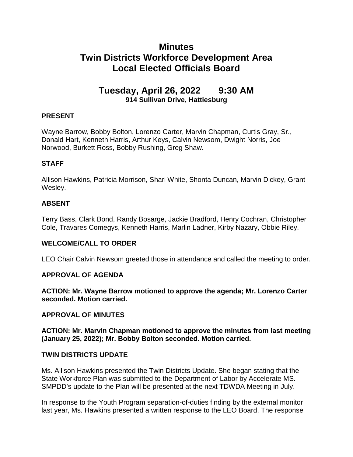# **Minutes Twin Districts Workforce Development Area Local Elected Officials Board**

# **Tuesday, April 26, 2022 9:30 AM 914 Sullivan Drive, Hattiesburg**

# **PRESENT**

Wayne Barrow, Bobby Bolton, Lorenzo Carter, Marvin Chapman, Curtis Gray, Sr., Donald Hart, Kenneth Harris, Arthur Keys, Calvin Newsom, Dwight Norris, Joe Norwood, Burkett Ross, Bobby Rushing, Greg Shaw.

# **STAFF**

Allison Hawkins, Patricia Morrison, Shari White, Shonta Duncan, Marvin Dickey, Grant Wesley.

# **ABSENT**

Terry Bass, Clark Bond, Randy Bosarge, Jackie Bradford, Henry Cochran, Christopher Cole, Travares Comegys, Kenneth Harris, Marlin Ladner, Kirby Nazary, Obbie Riley.

# **WELCOME/CALL TO ORDER**

LEO Chair Calvin Newsom greeted those in attendance and called the meeting to order.

# **APPROVAL OF AGENDA**

**ACTION: Mr. Wayne Barrow motioned to approve the agenda; Mr. Lorenzo Carter seconded. Motion carried.** 

#### **APPROVAL OF MINUTES**

**ACTION: Mr. Marvin Chapman motioned to approve the minutes from last meeting (January 25, 2022); Mr. Bobby Bolton seconded. Motion carried.** 

# **TWIN DISTRICTS UPDATE**

Ms. Allison Hawkins presented the Twin Districts Update. She began stating that the State Workforce Plan was submitted to the Department of Labor by Accelerate MS. SMPDD's update to the Plan will be presented at the next TDWDA Meeting in July.

In response to the Youth Program separation-of-duties finding by the external monitor last year, Ms. Hawkins presented a written response to the LEO Board. The response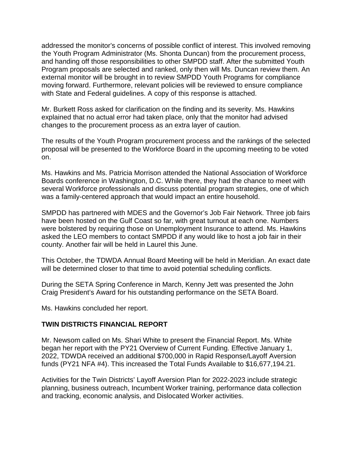addressed the monitor's concerns of possible conflict of interest. This involved removing the Youth Program Administrator (Ms. Shonta Duncan) from the procurement process, and handing off those responsibilities to other SMPDD staff. After the submitted Youth Program proposals are selected and ranked, only then will Ms. Duncan review them. An external monitor will be brought in to review SMPDD Youth Programs for compliance moving forward. Furthermore, relevant policies will be reviewed to ensure compliance with State and Federal guidelines. A copy of this response is attached.

Mr. Burkett Ross asked for clarification on the finding and its severity. Ms. Hawkins explained that no actual error had taken place, only that the monitor had advised changes to the procurement process as an extra layer of caution.

The results of the Youth Program procurement process and the rankings of the selected proposal will be presented to the Workforce Board in the upcoming meeting to be voted on.

Ms. Hawkins and Ms. Patricia Morrison attended the National Association of Workforce Boards conference in Washington, D.C. While there, they had the chance to meet with several Workforce professionals and discuss potential program strategies, one of which was a family-centered approach that would impact an entire household.

SMPDD has partnered with MDES and the Governor's Job Fair Network. Three job fairs have been hosted on the Gulf Coast so far, with great turnout at each one. Numbers were bolstered by requiring those on Unemployment Insurance to attend. Ms. Hawkins asked the LEO members to contact SMPDD if any would like to host a job fair in their county. Another fair will be held in Laurel this June.

This October, the TDWDA Annual Board Meeting will be held in Meridian. An exact date will be determined closer to that time to avoid potential scheduling conflicts.

During the SETA Spring Conference in March, Kenny Jett was presented the John Craig President's Award for his outstanding performance on the SETA Board.

Ms. Hawkins concluded her report.

#### **TWIN DISTRICTS FINANCIAL REPORT**

Mr. Newsom called on Ms. Shari White to present the Financial Report. Ms. White began her report with the PY21 Overview of Current Funding. Effective January 1, 2022, TDWDA received an additional \$700,000 in Rapid Response/Layoff Aversion funds (PY21 NFA #4). This increased the Total Funds Available to \$16,677,194.21.

Activities for the Twin Districts' Layoff Aversion Plan for 2022-2023 include strategic planning, business outreach, Incumbent Worker training, performance data collection and tracking, economic analysis, and Dislocated Worker activities.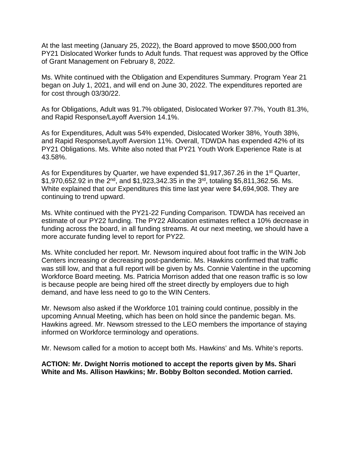At the last meeting (January 25, 2022), the Board approved to move \$500,000 from PY21 Dislocated Worker funds to Adult funds. That request was approved by the Office of Grant Management on February 8, 2022.

Ms. White continued with the Obligation and Expenditures Summary. Program Year 21 began on July 1, 2021, and will end on June 30, 2022. The expenditures reported are for cost through 03/30/22.

As for Obligations, Adult was 91.7% obligated, Dislocated Worker 97.7%, Youth 81.3%, and Rapid Response/Layoff Aversion 14.1%.

As for Expenditures, Adult was 54% expended, Dislocated Worker 38%, Youth 38%, and Rapid Response/Layoff Aversion 11%. Overall, TDWDA has expended 42% of its PY21 Obligations. Ms. White also noted that PY21 Youth Work Experience Rate is at 43.58%.

As for Expenditures by Quarter, we have expended \$1,917,367.26 in the 1<sup>st</sup> Quarter,  $$1,970,652.92$  in the  $2^{nd}$ , and  $$1,923,342.35$  in the 3<sup>rd</sup>, totaling \$5,811,362.56. Ms. White explained that our Expenditures this time last year were \$4,694,908. They are continuing to trend upward.

Ms. White continued with the PY21-22 Funding Comparison. TDWDA has received an estimate of our PY22 funding. The PY22 Allocation estimates reflect a 10% decrease in funding across the board, in all funding streams. At our next meeting, we should have a more accurate funding level to report for PY22.

Ms. White concluded her report. Mr. Newsom inquired about foot traffic in the WIN Job Centers increasing or decreasing post-pandemic. Ms. Hawkins confirmed that traffic was still low, and that a full report will be given by Ms. Connie Valentine in the upcoming Workforce Board meeting. Ms. Patricia Morrison added that one reason traffic is so low is because people are being hired off the street directly by employers due to high demand, and have less need to go to the WIN Centers.

Mr. Newsom also asked if the Workforce 101 training could continue, possibly in the upcoming Annual Meeting, which has been on hold since the pandemic began. Ms. Hawkins agreed. Mr. Newsom stressed to the LEO members the importance of staying informed on Workforce terminology and operations.

Mr. Newsom called for a motion to accept both Ms. Hawkins' and Ms. White's reports.

# **ACTION: Mr. Dwight Norris motioned to accept the reports given by Ms. Shari White and Ms. Allison Hawkins; Mr. Bobby Bolton seconded. Motion carried.**